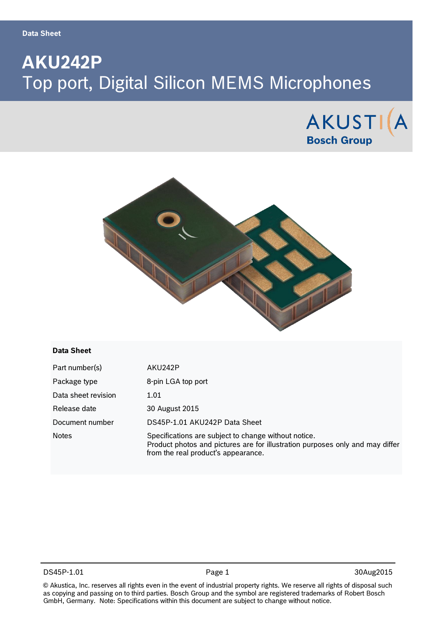# **AKU242P** Top port, Digital Silicon MEMS Microphones





#### **Data Sheet**

| Part number(s)      | AKU242P                                                                                                                                                                      |
|---------------------|------------------------------------------------------------------------------------------------------------------------------------------------------------------------------|
| Package type        | 8-pin LGA top port                                                                                                                                                           |
| Data sheet revision | 1.01                                                                                                                                                                         |
| Release date        | 30 August 2015                                                                                                                                                               |
| Document number     | DS45P-1.01 AKU242P Data Sheet                                                                                                                                                |
| <b>Notes</b>        | Specifications are subject to change without notice.<br>Product photos and pictures are for illustration purposes only and may differ<br>from the real product's appearance. |

DS45P-1.01 **Page 1** Page 1 30Aug2015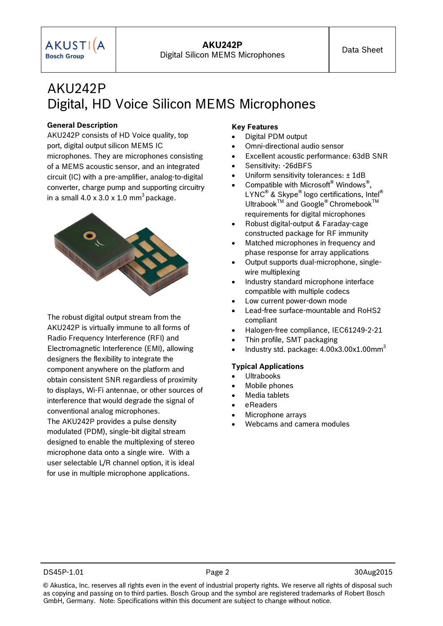## AKU242P Digital, HD Voice Silicon MEMS Microphones

#### **General Description**

**AKUSTIA Bosch Group** 

AKU242P consists of HD Voice quality, top port, digital output silicon MEMS IC microphones. They are microphones consisting of a MEMS acoustic sensor, and an integrated circuit (IC) with a pre-amplifier, analog-to-digital converter, charge pump and supporting circuitry in a small  $4.0 \times 3.0 \times 1.0 \text{ mm}^3$  package.



The robust digital output stream from the AKU242P is virtually immune to all forms of Radio Frequency Interference (RFI) and Electromagnetic Interference (EMI), allowing designers the flexibility to integrate the component anywhere on the platform and obtain consistent SNR regardless of proximity to displays, Wi-Fi antennae, or other sources of interference that would degrade the signal of conventional analog microphones. The AKU242P provides a pulse density modulated (PDM), single-bit digital stream designed to enable the multiplexing of stereo microphone data onto a single wire. With a user selectable L/R channel option, it is ideal

for use in multiple microphone applications.

#### **Key Features**

**AKU242P**

- Digital PDM output
- Omni-directional audio sensor
- Excellent acoustic performance: 63dB SNR
- Sensitivity: -26dBFS
- Uniform sensitivity tolerances: ± 1dB
- Compatible with Microsoft<sup>®</sup> Windows<sup>®</sup>, LYNC® & Skype® logo certifications, Intel® Ultrabook<sup>TM</sup> and Google<sup>®</sup> Chromebook<sup>TM</sup> requirements for digital microphones
- Robust digital-output & Faraday-cage constructed package for RF immunity
- Matched microphones in frequency and phase response for array applications
- Output supports dual-microphone, singlewire multiplexing
- Industry standard microphone interface compatible with multiple codecs
- Low current power-down mode
- Lead-free surface-mountable and RoHS2 compliant
- Halogen-free compliance, IEC61249-2-21
- Thin profile, SMT packaging
- Industry std. package:  $4.00x3.00x1.00mm<sup>3</sup>$

#### **Typical Applications**

- Ultrabooks
- Mobile phones
- Media tablets
- eReaders
- Microphone arrays
- Webcams and camera modules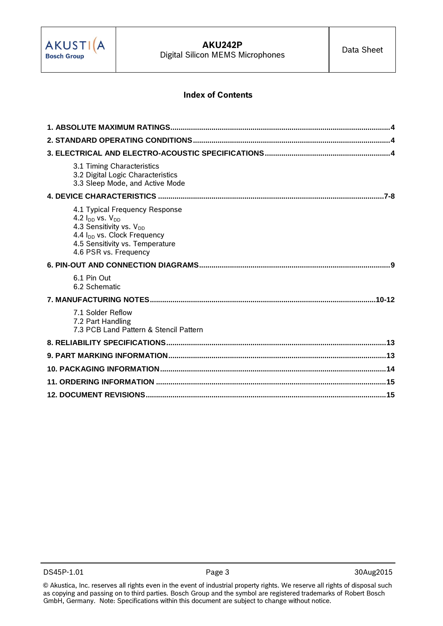

## **Index of Contents**

| 3.1 Timing Characteristics<br>3.2 Digital Logic Characteristics<br>3.3 Sleep Mode, and Active Mode                                                                                                        |
|-----------------------------------------------------------------------------------------------------------------------------------------------------------------------------------------------------------|
|                                                                                                                                                                                                           |
| 4.1 Typical Frequency Response<br>4.2 $I_{DD}$ vs. $V_{DD}$<br>4.3 Sensitivity vs. V <sub>DD</sub><br>4.4 I <sub>DD</sub> vs. Clock Frequency<br>4.5 Sensitivity vs. Temperature<br>4.6 PSR vs. Frequency |
|                                                                                                                                                                                                           |
| 6.1 Pin Out<br>6.2 Schematic                                                                                                                                                                              |
|                                                                                                                                                                                                           |
| 7.1 Solder Reflow<br>7.2 Part Handling<br>7.3 PCB Land Pattern & Stencil Pattern                                                                                                                          |
|                                                                                                                                                                                                           |
|                                                                                                                                                                                                           |
|                                                                                                                                                                                                           |
|                                                                                                                                                                                                           |
|                                                                                                                                                                                                           |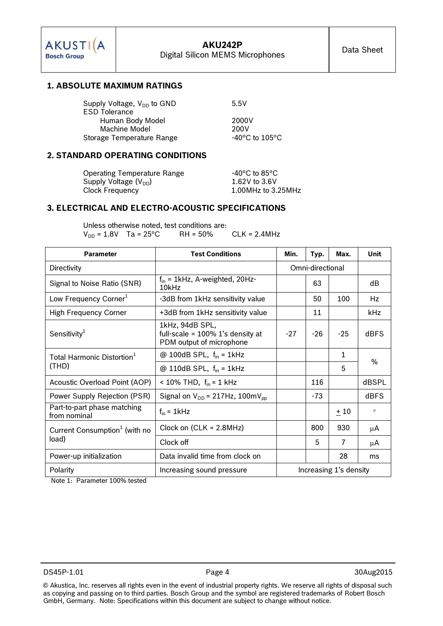

### **1. ABSOLUTE MAXIMUM RATINGS**

| Supply Voltage, $V_{DD}$ to GND | 5.5V                               |
|---------------------------------|------------------------------------|
| <b>ESD Tolerance</b>            |                                    |
| Human Body Model                | 2000V                              |
| Machine Model                   | 200V                               |
| Storage Temperature Range       | $-40^{\circ}$ C to $105^{\circ}$ C |

#### **2. STANDARD OPERATING CONDITIONS**

Operating Temperature Range 40°C to 85°C Supply Voltage  $(V_{DD})$  1.62V to 3.6V<br>Clock Frequency 1.00MHz to 3.

 $1.00$ MHz to  $3.25$ MHz

## **3. ELECTRICAL AND ELECTRO-ACOUSTIC SPECIFICATIONS**

Unless otherwise noted, test conditions are:  $V_{DD} = 1.8V$  Ta = 25°C RH = 50% CLK = 2.4MHz

| <b>Parameter</b>                                                | <b>Test Conditions</b>                                                             | Max.<br>Min.<br>Typ. |                  | Unit  |             |  |
|-----------------------------------------------------------------|------------------------------------------------------------------------------------|----------------------|------------------|-------|-------------|--|
| Directivity                                                     |                                                                                    |                      | Omni-directional |       |             |  |
| Signal to Noise Ratio (SNR)                                     | $f_{in}$ = 1kHz, A-weighted, 20Hz-<br>10kHz                                        |                      | 63               |       | dВ          |  |
| Low Frequency Corner <sup>1</sup>                               | -3dB from 1kHz sensitivity value                                                   |                      | 50               | 100   | Hz          |  |
| <b>High Frequency Corner</b>                                    | +3dB from 1kHz sensitivity value                                                   |                      | 11               |       | kHz         |  |
| Sensitivity <sup>1</sup>                                        | 1kHz, 94dB SPL,<br>full-scale = $100\%$ 1's density at<br>PDM output of microphone | $-27$                | $-26$            | $-25$ | <b>dBFS</b> |  |
| Total Harmonic Distortion <sup>1</sup>                          | @ 100dB SPL, $f_{in}$ = 1kHz                                                       |                      |                  | 1     | $\%$        |  |
| (THD)                                                           | @ 110dB SPL, $f_{in}$ = 1kHz                                                       |                      |                  | 5     |             |  |
| Acoustic Overload Point (AOP)                                   | < 10% THD, $f_{in} = 1$ kHz                                                        |                      | 116              |       | dBSPL       |  |
| Power Supply Rejection (PSR)                                    | Signal on $V_{DD}$ = 217Hz, 100m $V_{DD}$                                          |                      | $-73$            |       | dBFS        |  |
| Part-to-part phase matching<br>from nominal                     | $f_{in}$ = 1kHz                                                                    |                      |                  | ±10   | $\circ$     |  |
| Current Consumption <sup>1</sup> (with no                       | Clock on $(CLK = 2.8MHz)$                                                          |                      | 800              | 930   | μA          |  |
| load)                                                           | Clock off                                                                          |                      | 5                | 7     | μA          |  |
| Power-up initialization                                         | Data invalid time from clock on                                                    |                      |                  | 28    | ms          |  |
| Increasing 1's density<br>Polarity<br>Increasing sound pressure |                                                                                    |                      |                  |       |             |  |

Note 1: Parameter 100% tested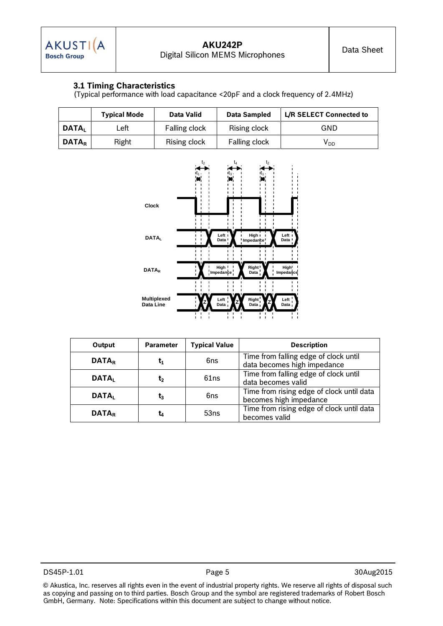## **3.1 Timing Characteristics**

(Typical performance with load capacitance <20pF and a clock frequency of 2.4MHz)

|                     | <b>Typical Mode</b> | Data Valid    | Data Sampled  | L/R SELECT Connected to |
|---------------------|---------------------|---------------|---------------|-------------------------|
| DATA,               | Left                | Falling clock | Rising clock  | GND                     |
| l DATA <sub>r</sub> | Right               | Rising clock  | Falling clock | V <sub>DD</sub>         |



| Output                   | <b>Parameter</b> | <b>Typical Value</b> | <b>Description</b>                                                   |
|--------------------------|------------------|----------------------|----------------------------------------------------------------------|
| <b>DATA</b> <sub>R</sub> | τ,               | 6ns                  | Time from falling edge of clock until<br>data becomes high impedance |
| <b>DATAL</b>             | τ,               | 61ns                 | Time from falling edge of clock until<br>data becomes valid          |
| <b>DATAL</b>             | $\mathfrak{r}_3$ | 6ns                  | Time from rising edge of clock until data<br>becomes high impedance  |
| <b>DATAR</b>             | t4               | 53ns                 | Time from rising edge of clock until data<br>becomes valid           |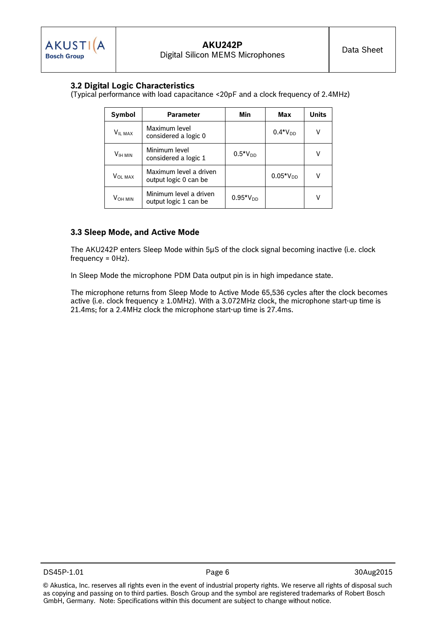## **3.2 Digital Logic Characteristics**

(Typical performance with load capacitance <20pF and a clock frequency of 2.4MHz)

| Symbol              | <b>Parameter</b>                                | Min           | Max           | <b>Units</b> |
|---------------------|-------------------------------------------------|---------------|---------------|--------------|
| <b>VIL MAX</b>      | Maximum level<br>considered a logic 0           |               | $0.4*V_{DD}$  | ٧            |
| V <sub>IH MIN</sub> | Minimum level<br>considered a logic 1           | $0.5^*V_{DD}$ |               | v            |
| <b>VOL MAX</b>      | Maximum level a driven<br>output logic 0 can be |               | $0.05*V_{DD}$ | V            |
| VOH MIN             | Minimum level a driven<br>output logic 1 can be | $0.95*V_{DD}$ |               | v            |

### **3.3 Sleep Mode, and Active Mode**

The AKU242P enters Sleep Mode within 5µS of the clock signal becoming inactive (i.e. clock frequency = 0Hz).

In Sleep Mode the microphone PDM Data output pin is in high impedance state.

The microphone returns from Sleep Mode to Active Mode 65,536 cycles after the clock becomes active (i.e. clock frequency  $\geq 1.0$ MHz). With a 3.072MHz clock, the microphone start-up time is 21.4ms; for a 2.4MHz clock the microphone start-up time is 27.4ms.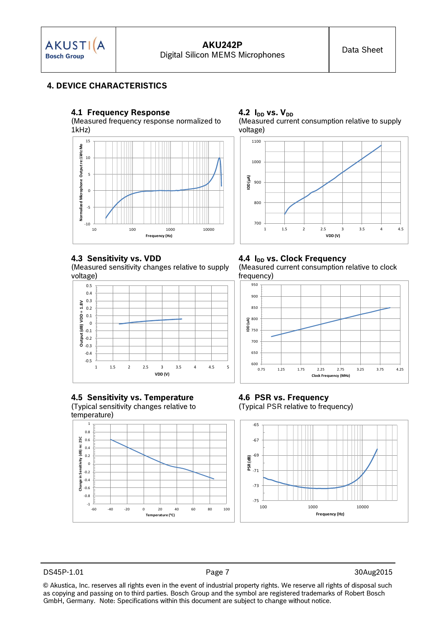

## **4. DEVICE CHARACTERISTICS**

#### **4.1 Frequency Response**

(Measured frequency response normalized to 1kHz)



## **4.3 Sensitivity vs. VDD**

(Measured sensitivity changes relative to supply voltage)



## **4.5 Sensitivity vs. Temperature**

(Typical sensitivity changes relative to temperature)



#### **4.2 IDD vs. VDD** (Measured current consumption relative to supply voltage)



## **4.4 I<sub>DD</sub> vs. Clock Frequency**

(Measured current consumption relative to clock frequency)



#### **4.6 PSR vs. Frequency** (Typical PSR relative to frequency)



DS45P-1.01 Page 7 30Aug2015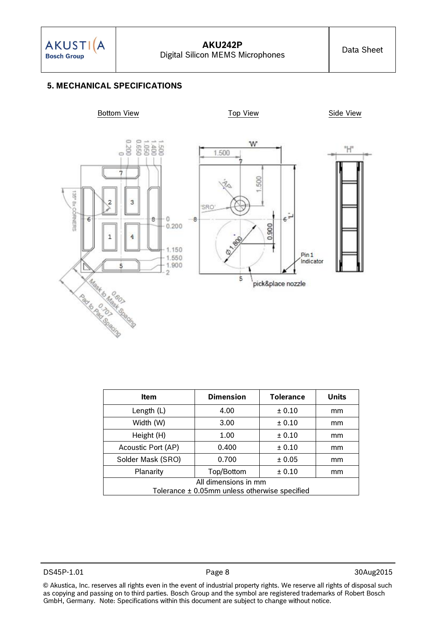

## **5. MECHANICAL SPECIFICATIONS**



| <b>Item</b>                                       | <b>Dimension</b> | <b>Tolerance</b> | <b>Units</b> |  |
|---------------------------------------------------|------------------|------------------|--------------|--|
| Length $(L)$                                      | 4.00             | ± 0.10           | mm           |  |
| Width (W)                                         | 3.00             | ± 0.10           | mm           |  |
| Height (H)                                        | 1.00             | ± 0.10           | mm           |  |
| Acoustic Port (AP)                                | 0.400            | ± 0.10           | mm           |  |
| Solder Mask (SRO)                                 | 0.700            | ± 0.05           | mm           |  |
| Planarity                                         | Top/Bottom       | ± 0.10           | mm           |  |
| All dimensions in mm                              |                  |                  |              |  |
| Tolerance $\pm$ 0.05mm unless otherwise specified |                  |                  |              |  |

DS45P-1.01 **Page 8** 20Aug2015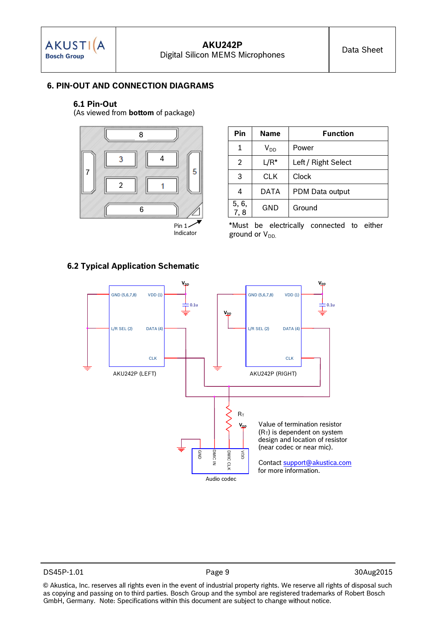## **6. PIN-OUT AND CONNECTION DIAGRAMS**

#### **6.1 Pin-Out**

(As viewed from **bottom** of package)



Indicator

| Pin        | <b>Name</b>     | <b>Function</b>     |  |  |
|------------|-----------------|---------------------|--|--|
| 1          | V <sub>DD</sub> | Power               |  |  |
| 2          | $L/R^*$         | Left / Right Select |  |  |
| 3          | CLK             | Clock               |  |  |
| 4          | <b>DATA</b>     | PDM Data output     |  |  |
| 5, 6, 7, 8 | GND             | Ground              |  |  |

\*Must be electrically connected to either ground or  $V_{DD}$ .



DS45P-1.01 **Page 9** 20Aug2015

© Akustica, Inc. reserves all rights even in the event of industrial property rights. We reserve all rights of disposal such as copying and passing on to third parties. Bosch Group and the symbol are registered trademarks of Robert Bosch GmbH, Germany. Note: Specifications within this document are subject to change without notice.

### **6.2 Typical Application Schematic**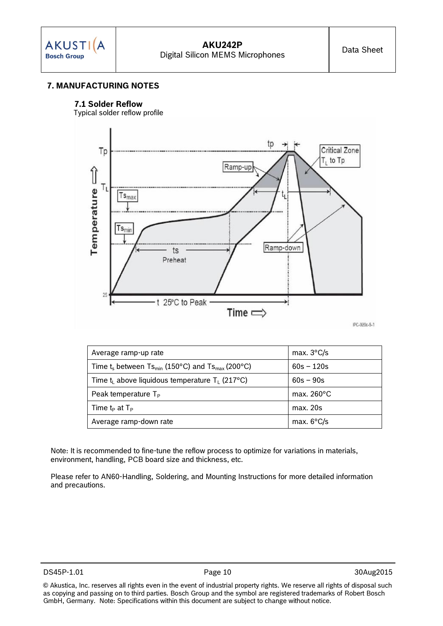## **7. MANUFACTURING NOTES**

#### **7.1 Solder Reflow**

Typical solder reflow profile



| Average ramp-up rate                                                       | max. $3^{\circ}$ C/s |
|----------------------------------------------------------------------------|----------------------|
| Time $t_s$ between Ts <sub>min</sub> (150°C) and Ts <sub>max</sub> (200°C) | $60s - 120s$         |
| Time $t_1$ above liquidous temperature $T_1$ (217°C)                       | $60s - 90s$          |
| Peak temperature $T_P$                                                     | max. $260^{\circ}$ C |
| Time $t_P$ at $T_P$                                                        | max.20s              |
| Average ramp-down rate                                                     | max. $6^{\circ}$ C/s |

Note: It is recommended to fine-tune the reflow process to optimize for variations in materials, environment, handling, PCB board size and thickness, etc.

Please refer to AN60-Handling, Soldering, and Mounting Instructions for more detailed information and precautions.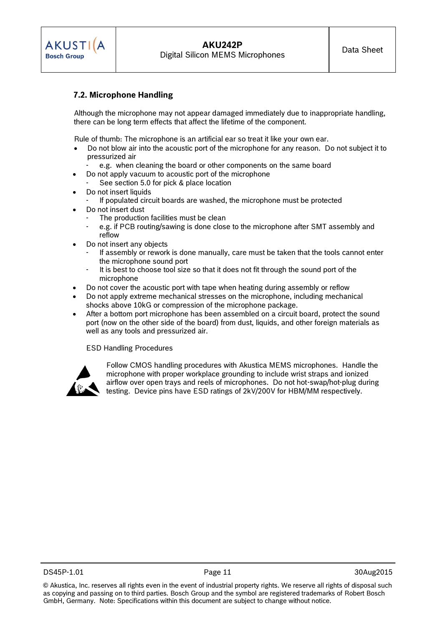

## **7.2. Microphone Handling**

Although the microphone may not appear damaged immediately due to inappropriate handling, there can be long term effects that affect the lifetime of the component.

Rule of thumb: The microphone is an artificial ear so treat it like your own ear.

- Do not blow air into the acoustic port of the microphone for any reason. Do not subject it to pressurized air
	- e.g. when cleaning the board or other components on the same board
- Do not apply vacuum to acoustic port of the microphone
	- See section 5.0 for pick & place location
- Do not insert liquids
	- If populated circuit boards are washed, the microphone must be protected
- Do not insert dust
	- The production facilities must be clean
	- e.g. if PCB routing/sawing is done close to the microphone after SMT assembly and reflow
- Do not insert any objects
	- If assembly or rework is done manually, care must be taken that the tools cannot enter the microphone sound port
	- It is best to choose tool size so that it does not fit through the sound port of the microphone
- Do not cover the acoustic port with tape when heating during assembly or reflow
- Do not apply extreme mechanical stresses on the microphone, including mechanical shocks above 10kG or compression of the microphone package.
- After a bottom port microphone has been assembled on a circuit board, protect the sound port (now on the other side of the board) from dust, liquids, and other foreign materials as well as any tools and pressurized air.

ESD Handling Procedures



Follow CMOS handling procedures with Akustica MEMS microphones. Handle the microphone with proper workplace grounding to include wrist straps and ionized airflow over open trays and reels of microphones. Do not hot-swap/hot-plug during testing. Device pins have ESD ratings of 2kV/200V for HBM/MM respectively.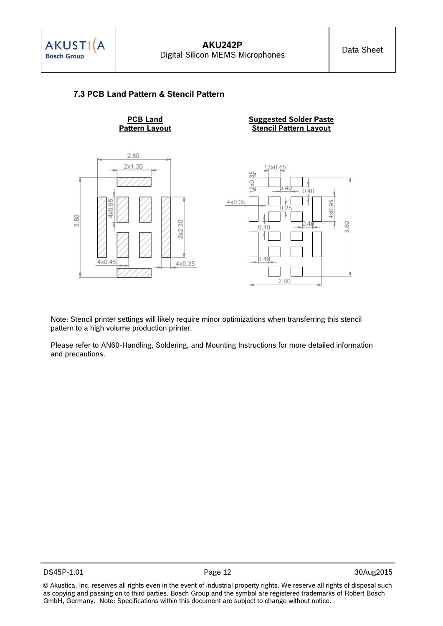

## **7.3 PCB Land Pattern & Stencil Pattern**



Note: Stencil printer settings will likely require minor optimizations when transferring this stencil pattern to a high volume production printer.

Please refer to AN60-Handling, Soldering, and Mounting Instructions for more detailed information and precautions.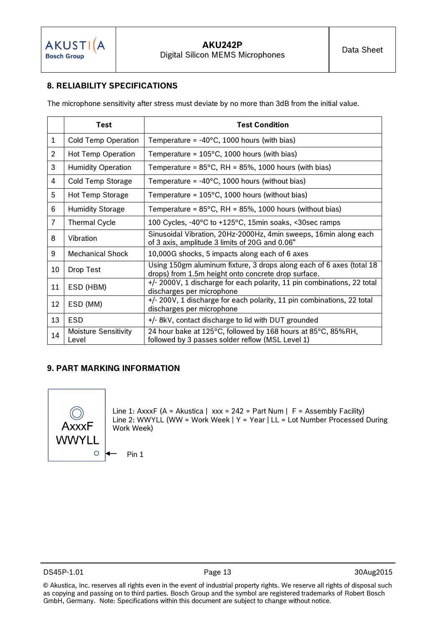## **8. RELIABILITY SPECIFICATIONS**

The microphone sensitivity after stress must deviate by no more than 3dB from the initial value.

|                | Test                                 | <b>Test Condition</b>                                                                                                       |
|----------------|--------------------------------------|-----------------------------------------------------------------------------------------------------------------------------|
| $\mathbf 1$    | Cold Temp Operation                  | Temperature = $-40^{\circ}$ C, 1000 hours (with bias)                                                                       |
| $\overline{2}$ | Hot Temp Operation                   | Temperature = $105^{\circ}$ C, 1000 hours (with bias)                                                                       |
| 3              | <b>Humidity Operation</b>            | Temperature = $85^{\circ}$ C, RH = $85\%$ , 1000 hours (with bias)                                                          |
| 4              | Cold Temp Storage                    | Temperature = $-40^{\circ}$ C, 1000 hours (without bias)                                                                    |
| 5              | Hot Temp Storage                     | Temperature = $105^{\circ}$ C, 1000 hours (without bias)                                                                    |
| 6              | <b>Humidity Storage</b>              | Temperature = $85^{\circ}$ C, RH = $85\%$ , 1000 hours (without bias)                                                       |
| $\overline{7}$ | <b>Thermal Cycle</b>                 | 100 Cycles, -40°C to +125°C, 15min soaks, <30sec ramps                                                                      |
| 8              | Vibration                            | Sinusoidal Vibration, 20Hz-2000Hz, 4min sweeps, 16min along each<br>of 3 axis, amplitude 3 limits of 20G and 0.06"          |
| 9              | Mechanical Shock                     | 10,000G shocks, 5 impacts along each of 6 axes                                                                              |
| 10             | Drop Test                            | Using 150gm aluminum fixture, 3 drops along each of 6 axes (total 18<br>drops) from 1.5m height onto concrete drop surface. |
| 11             | ESD (HBM)                            | +/- 2000V, 1 discharge for each polarity, 11 pin combinations, 22 total<br>discharges per microphone                        |
| 12             | ESD (MM)                             | +/- 200V, 1 discharge for each polarity, 11 pin combinations, 22 total<br>discharges per microphone                         |
| 13             | <b>ESD</b>                           | +/- 8kV, contact discharge to lid with DUT grounded                                                                         |
| 14             | <b>Moisture Sensitivity</b><br>Level | 24 hour bake at 125°C, followed by 168 hours at 85°C, 85%RH,<br>followed by 3 passes solder reflow (MSL Level 1)            |

## **9. PART MARKING INFORMATION**



Line 1: AxxxF (A = Akustica | xxx = 242 = Part Num | F = Assembly Facility) Line 2: WWYLL (WW = Work Week | Y = Year | LL = Lot Number Processed During Work Week)

Pin 1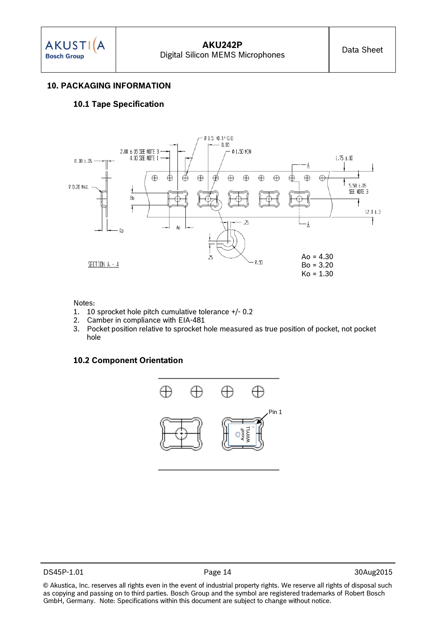**AKUSTI(A Bosch Group** 

#### **10. PACKAGING INFORMATION**

#### **10.1 Tape Specification**



#### Notes:

- 1. 10 sprocket hole pitch cumulative tolerance +/- 0.2
- 2. Camber in compliance with EIA-481
- 3. Pocket position relative to sprocket hole measured as true position of pocket, not pocket hole

#### **10.2 Component Orientation**

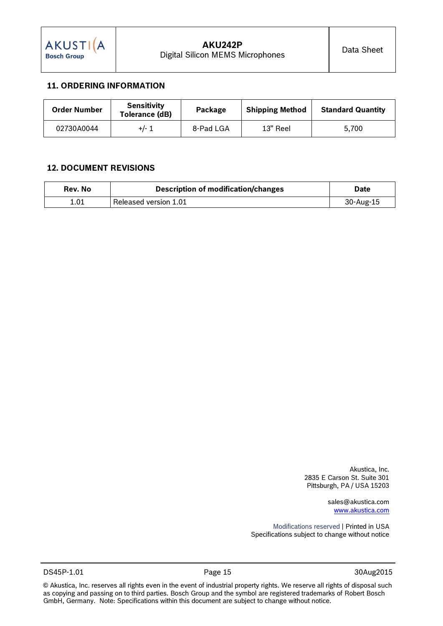## <span id="page-14-0"></span>**11. ORDERING INFORMATION**

| <b>Order Number</b> | <b>Sensitivity</b><br>Tolerance (dB) | Package   | <b>Shipping Method</b> | <b>Standard Quantity</b> |
|---------------------|--------------------------------------|-----------|------------------------|--------------------------|
| 02730A0044          | +/- 1                                | 8-Pad LGA | 13" Reel               | 5.700                    |

### **12. DOCUMENT REVISIONS**

| Rev. No | Description of modification/changes | <b>Date</b> |
|---------|-------------------------------------|-------------|
| 1.01    | Released version 1.01               | 30-Aug-15   |

Akustica, Inc. 2835 E Carson St. Suite 301 Pittsburgh, PA / USA 15203

> sales@akustica.com [www.akustica.com](http://www.bosch-sensortec.com/)

Modifications reserved | Printed in USA Specifications subject to change without notice